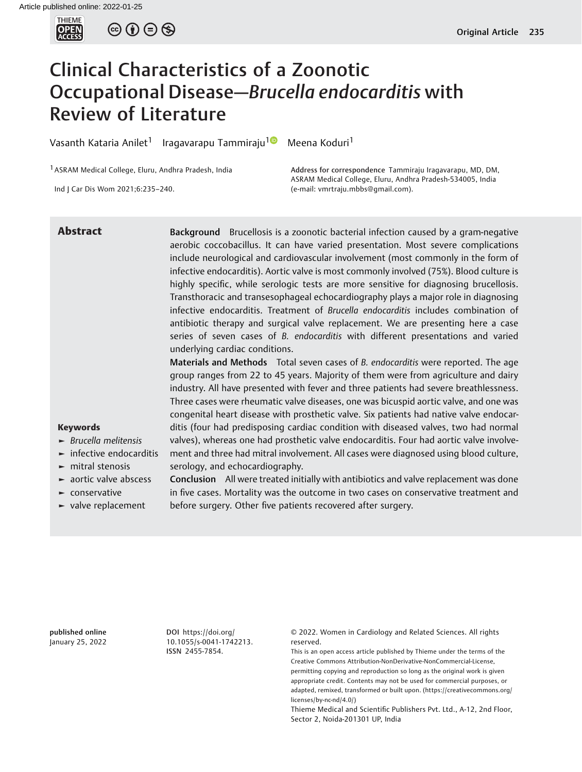

 $\circledcirc$   $\oplus$   $\circledcirc$ 

# Clinical Characteristics of a Zoonotic Occupational Disease—Brucella endocarditis with Review of Literature

Vasanth Kataria Anilet<sup>1</sup> Iragavarapu Tammiraju<sup>10</sup> Meena Koduri<sup>1</sup>

1ASRAM Medical College, Eluru, Andhra Pradesh, India

Ind J Car Dis Wom 2021;6:235–240.

Address for correspondence Tammiraju Iragavarapu, MD, DM, ASRAM Medical College, Eluru, Andhra Pradesh-534005, India (e-mail: [vmrtraju.mbbs@gmail.com\)](mailto:vmrtraju.mbbs@gmail.com).

Abstract Background Brucellosis is a zoonotic bacterial infection caused by a gram-negative aerobic coccobacillus. It can have varied presentation. Most severe complications include neurological and cardiovascular involvement (most commonly in the form of infective endocarditis). Aortic valve is most commonly involved (75%). Blood culture is highly specific, while serologic tests are more sensitive for diagnosing brucellosis. Transthoracic and transesophageal echocardiography plays a major role in diagnosing infective endocarditis. Treatment of Brucella endocarditis includes combination of antibiotic therapy and surgical valve replacement. We are presenting here a case series of seven cases of B. endocarditis with different presentations and varied underlying cardiac conditions.

Materials and Methods Total seven cases of B. endocarditis were reported. The age group ranges from 22 to 45 years. Majority of them were from agriculture and dairy industry. All have presented with fever and three patients had severe breathlessness. Three cases were rheumatic valve diseases, one was bicuspid aortic valve, and one was congenital heart disease with prosthetic valve. Six patients had native valve endocarditis (four had predisposing cardiac condition with diseased valves, two had normal valves), whereas one had prosthetic valve endocarditis. Four had aortic valve involvement and three had mitral involvement. All cases were diagnosed using blood culture, serology, and echocardiography.

► aortic valve abscess ► conservative

► valve replacement

► Brucella melitensis  $\blacktriangleright$  infective endocarditis  $\blacktriangleright$  mitral stenosis

Keywords

Conclusion All were treated initially with antibiotics and valve replacement was done in five cases. Mortality was the outcome in two cases on conservative treatment and before surgery. Other five patients recovered after surgery.

published online January 25, 2022 DOI [https://doi.org/](https://doi.org/10.1055/s-0041-1742213) [10.1055/s-0041-1742213](https://doi.org/10.1055/s-0041-1742213). ISSN 2455-7854.

© 2022. Women in Cardiology and Related Sciences. All rights reserved.

This is an open access article published by Thieme under the terms of the Creative Commons Attribution-NonDerivative-NonCommercial-License, permitting copying and reproduction so long as the original work is given appropriate credit. Contents may not be used for commercial purposes, or adapted, remixed, transformed or built upon. (https://creativecommons.org/ licenses/by-nc-nd/4.0/)

Thieme Medical and Scientific Publishers Pvt. Ltd., A-12, 2nd Floor, Sector 2, Noida-201301 UP, India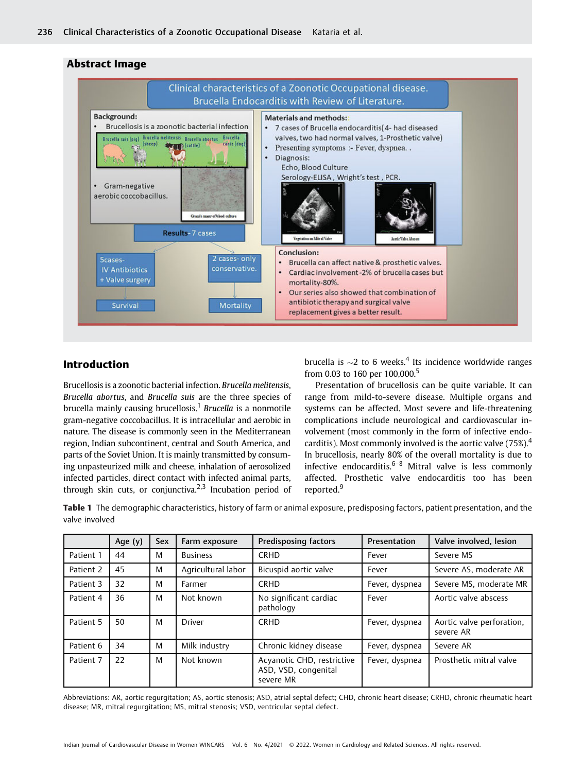

# Abstract Image

# Introduction

Brucellosis is a zoonotic bacterial infection. Brucella melitensis, Brucella abortus, and Brucella suis are the three species of brucella mainly causing brucellosis.<sup>1</sup> Brucella is a nonmotile gram-negative coccobacillus. It is intracellular and aerobic in nature. The disease is commonly seen in the Mediterranean region, Indian subcontinent, central and South America, and parts of the Soviet Union. It is mainly transmitted by consuming unpasteurized milk and cheese, inhalation of aerosolized infected particles, direct contact with infected animal parts, through skin cuts, or conjunctiva.<sup>2,3</sup> Incubation period of brucella is  $\sim$ 2 to 6 weeks.<sup>4</sup> Its incidence worldwide ranges from 0.03 to 160 per 100,000.<sup>5</sup>

Presentation of brucellosis can be quite variable. It can range from mild-to-severe disease. Multiple organs and systems can be affected. Most severe and life-threatening complications include neurological and cardiovascular involvement (most commonly in the form of infective endocarditis). Most commonly involved is the aortic valve (75%).<sup>4</sup> In brucellosis, nearly 80% of the overall mortality is due to infective endocarditis.<sup>6–8</sup> Mitral valve is less commonly affected. Prosthetic valve endocarditis too has been reported.<sup>9</sup>

Table 1 The demographic characteristics, history of farm or animal exposure, predisposing factors, patient presentation, and the valve involved

|           | Age (y) | <b>Sex</b> | Farm exposure      | <b>Predisposing factors</b>                                     | Presentation   | Valve involved, lesion                 |  |
|-----------|---------|------------|--------------------|-----------------------------------------------------------------|----------------|----------------------------------------|--|
| Patient 1 | 44      | M          | <b>Business</b>    | <b>CRHD</b>                                                     | Fever          | Severe MS                              |  |
| Patient 2 | 45      | M          | Agricultural labor | Bicuspid aortic valve                                           | Fever          | Severe AS, moderate AR                 |  |
| Patient 3 | 32      | M          | Farmer             | <b>CRHD</b>                                                     | Fever, dyspnea | Severe MS, moderate MR                 |  |
| Patient 4 | 36      | M          | Not known          | No significant cardiac<br>pathology                             | Fever          | Aortic valve abscess                   |  |
| Patient 5 | 50      | M          | <b>Driver</b>      | <b>CRHD</b>                                                     | Fever, dyspnea | Aortic valve perforation,<br>severe AR |  |
| Patient 6 | 34      | M          | Milk industry      | Chronic kidney disease                                          | Fever, dyspnea | Severe AR                              |  |
| Patient 7 | 22      | M          | Not known          | Acyanotic CHD, restrictive<br>ASD, VSD, congenital<br>severe MR | Fever, dyspnea | Prosthetic mitral valve                |  |

Abbreviations: AR, aortic regurgitation; AS, aortic stenosis; ASD, atrial septal defect; CHD, chronic heart disease; CRHD, chronic rheumatic heart disease; MR, mitral regurgitation; MS, mitral stenosis; VSD, ventricular septal defect.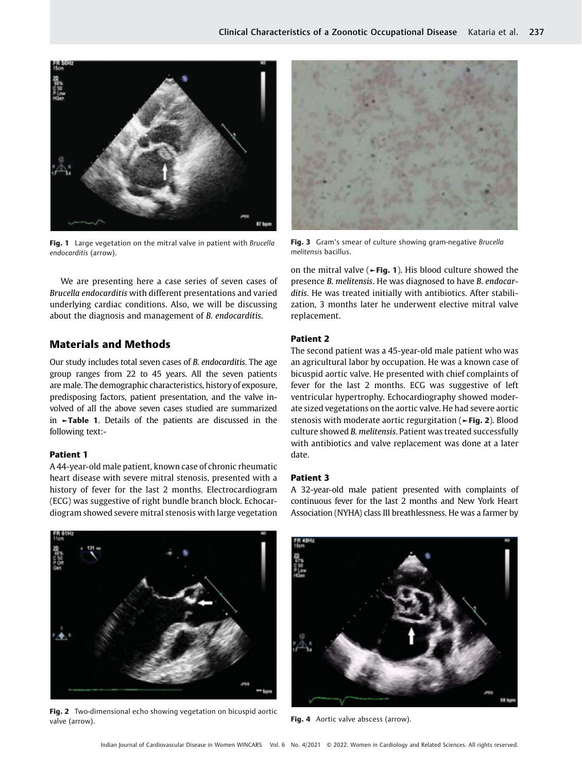

Fig. 1 Large vegetation on the mitral valve in patient with Brucella endocarditis (arrow).

We are presenting here a case series of seven cases of Brucella endocarditis with different presentations and varied underlying cardiac conditions. Also, we will be discussing about the diagnosis and management of B. endocarditis.

# Materials and Methods

Our study includes total seven cases of B. endocarditis. The age group ranges from 22 to 45 years. All the seven patients are male. The demographic characteristics, history of exposure, predisposing factors, patient presentation, and the valve involved of all the above seven cases studied are summarized in ►Table 1. Details of the patients are discussed in the following text:-

#### Patient 1

A 44-year-old male patient, known case of chronic rheumatic heart disease with severe mitral stenosis, presented with a history of fever for the last 2 months. Electrocardiogram (ECG) was suggestive of right bundle branch block. Echocardiogram showed severe mitral stenosis with large vegetation



Fig. 3 Gram's smear of culture showing gram-negative Brucella melitensis bacillus.

on the mitral valve ( $\blacktriangleright$ Fig. 1). His blood culture showed the presence B. melitensis. He was diagnosed to have B. endocarditis. He was treated initially with antibiotics. After stabilization, 3 months later he underwent elective mitral valve replacement.

## Patient 2

The second patient was a 45-year-old male patient who was an agricultural labor by occupation. He was a known case of bicuspid aortic valve. He presented with chief complaints of fever for the last 2 months. ECG was suggestive of left ventricular hypertrophy. Echocardiography showed moderate sized vegetations on the aortic valve. He had severe aortic stenosis with moderate aortic regurgitation (►Fig. 2). Blood culture showed B. melitensis. Patient was treated successfully with antibiotics and valve replacement was done at a later date.

#### Patient 3

A 32-year-old male patient presented with complaints of continuous fever for the last 2 months and New York Heart Association (NYHA) class III breathlessness. He was a farmer by



Fig. 2 Two-dimensional echo showing vegetation on bicuspid aortic valve (arrow).



Fig. 4 Aortic valve abscess (arrow).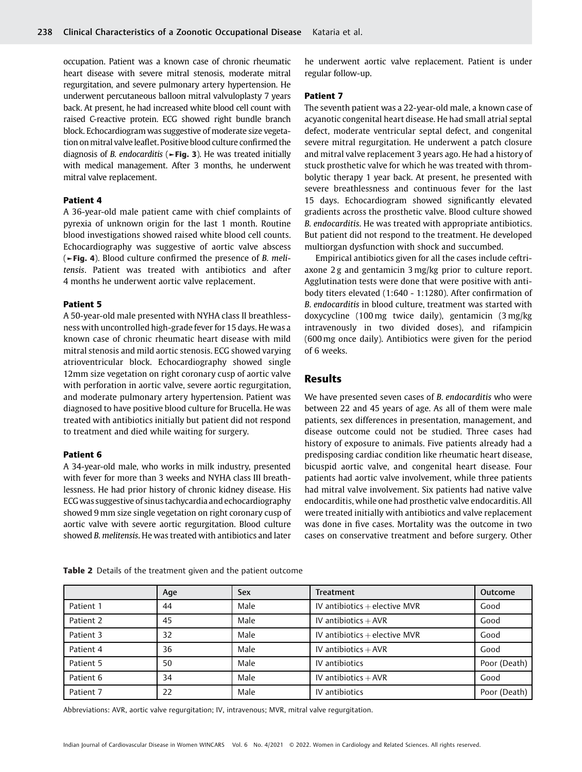occupation. Patient was a known case of chronic rheumatic heart disease with severe mitral stenosis, moderate mitral regurgitation, and severe pulmonary artery hypertension. He underwent percutaneous balloon mitral valvuloplasty 7 years back. At present, he had increased white blood cell count with raised C-reactive protein. ECG showed right bundle branch block. Echocardiogram was suggestive of moderate size vegetation on mitral valve leaflet. Positive blood culture confirmed the diagnosis of *B. endocarditis* ( $\blacktriangleright$ Fig. 3). He was treated initially with medical management. After 3 months, he underwent mitral valve replacement.

#### Patient 4

A 36-year-old male patient came with chief complaints of pyrexia of unknown origin for the last 1 month. Routine blood investigations showed raised white blood cell counts. Echocardiography was suggestive of aortic valve abscess (►Fig. 4). Blood culture confirmed the presence of B. melitensis. Patient was treated with antibiotics and after 4 months he underwent aortic valve replacement.

## Patient 5

A 50-year-old male presented with NYHA class II breathlessness with uncontrolled high-grade fever for 15 days. He was a known case of chronic rheumatic heart disease with mild mitral stenosis and mild aortic stenosis. ECG showed varying atrioventricular block. Echocardiography showed single 12mm size vegetation on right coronary cusp of aortic valve with perforation in aortic valve, severe aortic regurgitation, and moderate pulmonary artery hypertension. Patient was diagnosed to have positive blood culture for Brucella. He was treated with antibiotics initially but patient did not respond to treatment and died while waiting for surgery.

#### Patient 6

A 34-year-old male, who works in milk industry, presented with fever for more than 3 weeks and NYHA class III breathlessness. He had prior history of chronic kidney disease. His ECGwas suggestive of sinus tachycardia and echocardiography showed 9 mm size single vegetation on right coronary cusp of aortic valve with severe aortic regurgitation. Blood culture showed B. melitensis. He was treated with antibiotics and later

he underwent aortic valve replacement. Patient is under regular follow-up.

#### Patient 7

The seventh patient was a 22-year-old male, a known case of acyanotic congenital heart disease. He had small atrial septal defect, moderate ventricular septal defect, and congenital severe mitral regurgitation. He underwent a patch closure and mitral valve replacement 3 years ago. He had a history of stuck prosthetic valve for which he was treated with thrombolytic therapy 1 year back. At present, he presented with severe breathlessness and continuous fever for the last 15 days. Echocardiogram showed significantly elevated gradients across the prosthetic valve. Blood culture showed B. endocarditis. He was treated with appropriate antibiotics. But patient did not respond to the treatment. He developed multiorgan dysfunction with shock and succumbed.

Empirical antibiotics given for all the cases include ceftriaxone 2 g and gentamicin 3 mg/kg prior to culture report. Agglutination tests were done that were positive with antibody titers elevated (1:640 - 1:1280). After confirmation of B. endocarditis in blood culture, treatment was started with doxycycline (100 mg twice daily), gentamicin (3 mg/kg intravenously in two divided doses), and rifampicin (600 mg once daily). Antibiotics were given for the period of 6 weeks.

# Results

We have presented seven cases of B. endocarditis who were between 22 and 45 years of age. As all of them were male patients, sex differences in presentation, management, and disease outcome could not be studied. Three cases had history of exposure to animals. Five patients already had a predisposing cardiac condition like rheumatic heart disease, bicuspid aortic valve, and congenital heart disease. Four patients had aortic valve involvement, while three patients had mitral valve involvement. Six patients had native valve endocarditis, while one had prosthetic valve endocarditis. All were treated initially with antibiotics and valve replacement was done in five cases. Mortality was the outcome in two cases on conservative treatment and before surgery. Other

|           | Age | <b>Sex</b> | Treatment                       | Outcome      |
|-----------|-----|------------|---------------------------------|--------------|
| Patient 1 | 44  | Male       | IV antibiotics $+$ elective MVR | Good         |
| Patient 2 | 45  | Male       | IV antibiotics $+$ AVR          | Good         |
| Patient 3 | 32  | Male       | IV antibiotics $+$ elective MVR | Good         |
| Patient 4 | 36  | Male       | IV antibiotics $+$ AVR          | Good         |
| Patient 5 | 50  | Male       | IV antibiotics                  | Poor (Death) |
| Patient 6 | 34  | Male       | IV antibiotics $+$ AVR          | Good         |
| Patient 7 | 22  | Male       | IV antibiotics                  | Poor (Death) |

Table 2 Details of the treatment given and the patient outcome

Abbreviations: AVR, aortic valve regurgitation; IV, intravenous; MVR, mitral valve regurgitation.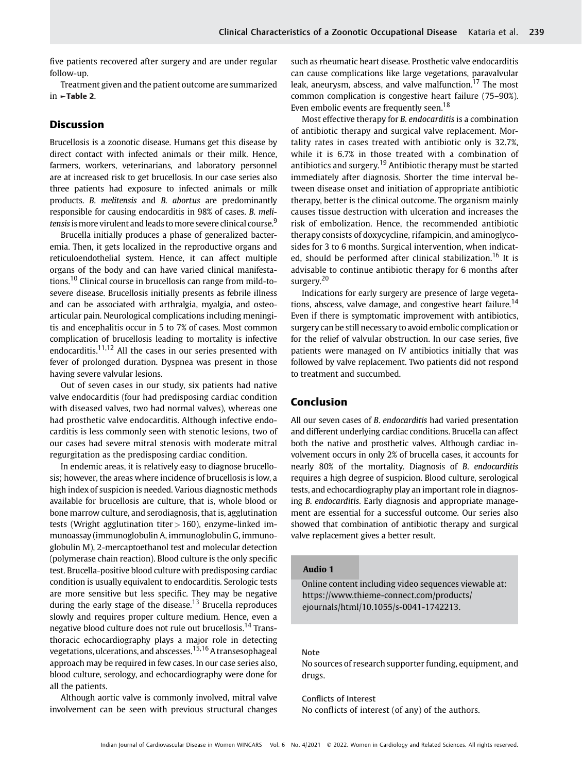five patients recovered after surgery and are under regular follow-up.

Treatment given and the patient outcome are summarized in ►Table 2.

## Discussion

Brucellosis is a zoonotic disease. Humans get this disease by direct contact with infected animals or their milk. Hence, farmers, workers, veterinarians, and laboratory personnel are at increased risk to get brucellosis. In our case series also three patients had exposure to infected animals or milk products. B. melitensis and B. abortus are predominantly responsible for causing endocarditis in 98% of cases. B. melitensis is more virulent and leads to more severe clinical course.<sup>9</sup>

Brucella initially produces a phase of generalized bacteremia. Then, it gets localized in the reproductive organs and reticuloendothelial system. Hence, it can affect multiple organs of the body and can have varied clinical manifestations.<sup>10</sup> Clinical course in brucellosis can range from mild-tosevere disease. Brucellosis initially presents as febrile illness and can be associated with arthralgia, myalgia, and osteoarticular pain. Neurological complications including meningitis and encephalitis occur in 5 to 7% of cases. Most common complication of brucellosis leading to mortality is infective endocarditis.<sup>11,12</sup> All the cases in our series presented with fever of prolonged duration. Dyspnea was present in those having severe valvular lesions.

Out of seven cases in our study, six patients had native valve endocarditis (four had predisposing cardiac condition with diseased valves, two had normal valves), whereas one had prosthetic valve endocarditis. Although infective endocarditis is less commonly seen with stenotic lesions, two of our cases had severe mitral stenosis with moderate mitral regurgitation as the predisposing cardiac condition.

In endemic areas, it is relatively easy to diagnose brucellosis; however, the areas where incidence of brucellosis is low, a high index of suspicion is needed. Various diagnostic methods available for brucellosis are culture, that is, whole blood or bone marrow culture, and serodiagnosis, that is, agglutination tests (Wright agglutination titer  $>$  160), enzyme-linked immunoassay (immunoglobulin A, immunoglobulin G, immunoglobulin M), 2-mercaptoethanol test and molecular detection (polymerase chain reaction). Blood culture is the only specific test. Brucella-positive blood culture with predisposing cardiac condition is usually equivalent to endocarditis. Serologic tests are more sensitive but less specific. They may be negative during the early stage of the disease.<sup>13</sup> Brucella reproduces slowly and requires proper culture medium. Hence, even a negative blood culture does not rule out brucellosis.<sup>14</sup> Transthoracic echocardiography plays a major role in detecting vegetations, ulcerations, and abscesses.<sup>15,16</sup> A transesophageal approach may be required in few cases. In our case series also, blood culture, serology, and echocardiography were done for all the patients.

Although aortic valve is commonly involved, mitral valve involvement can be seen with previous structural changes such as rheumatic heart disease. Prosthetic valve endocarditis can cause complications like large vegetations, paravalvular leak, aneurysm, abscess, and valve malfunction.<sup>17</sup> The most common complication is congestive heart failure (75–90%). Even embolic events are frequently seen.<sup>18</sup>

Most effective therapy for B. endocarditis is a combination of antibiotic therapy and surgical valve replacement. Mortality rates in cases treated with antibiotic only is 32.7%, while it is 6.7% in those treated with a combination of antibiotics and surgery.<sup>19</sup> Antibiotic therapy must be started immediately after diagnosis. Shorter the time interval between disease onset and initiation of appropriate antibiotic therapy, better is the clinical outcome. The organism mainly causes tissue destruction with ulceration and increases the risk of embolization. Hence, the recommended antibiotic therapy consists of doxycycline, rifampicin, and aminoglycosides for 3 to 6 months. Surgical intervention, when indicated, should be performed after clinical stabilization.<sup>16</sup> It is advisable to continue antibiotic therapy for 6 months after surgery.<sup>20</sup>

Indications for early surgery are presence of large vegetations, abscess, valve damage, and congestive heart failure.<sup>14</sup> Even if there is symptomatic improvement with antibiotics, surgery can be still necessary to avoid embolic complication or for the relief of valvular obstruction. In our case series, five patients were managed on IV antibiotics initially that was followed by valve replacement. Two patients did not respond to treatment and succumbed.

## Conclusion

All our seven cases of B. endocarditis had varied presentation and different underlying cardiac conditions. Brucella can affect both the native and prosthetic valves. Although cardiac involvement occurs in only 2% of brucella cases, it accounts for nearly 80% of the mortality. Diagnosis of B. endocarditis requires a high degree of suspicion. Blood culture, serological tests, and echocardiography play an important role in diagnosing B. endocarditis. Early diagnosis and appropriate management are essential for a successful outcome. Our series also showed that combination of antibiotic therapy and surgical valve replacement gives a better result.

#### Audio 1

Online content including video sequences viewable at: [https://www.thieme-connect.com/products/](https://www.thieme-connect.com/products/ejournals/html/10.1055/s-0041-1742213) [ejournals/html/10.1055/s-0041-1742213.](https://www.thieme-connect.com/products/ejournals/html/10.1055/s-0041-1742213)

## Note

No sources of research supporter funding, equipment, and drugs.

Conflicts of Interest No conflicts of interest (of any) of the authors.